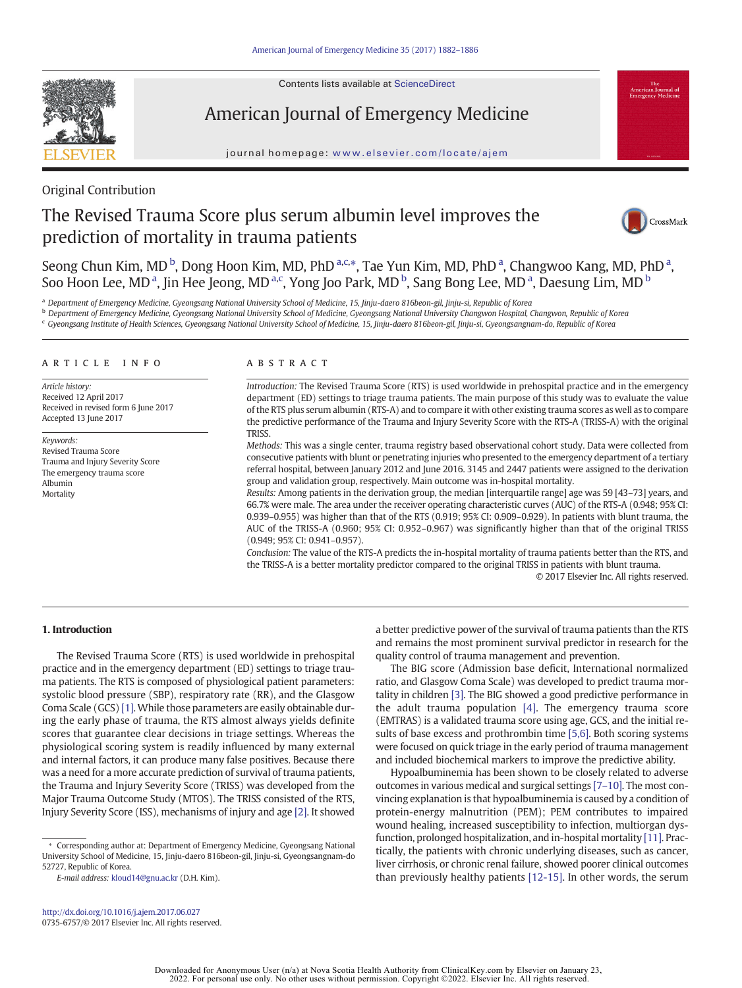Contents lists available at ScienceDirect



American Journal of Emergency Medicine

journal homepage: <www.elsevier.com/locate/ajem>



## Original Contribution

# The Revised Trauma Score plus serum albumin level improves the prediction of mortality in trauma patients



Seong Chun Kim, MD<sup>b</sup>, Dong Hoon Kim, MD, PhD<sup>a,c,\*</sup>, Tae Yun Kim, MD, PhD<sup>a</sup>, Changwoo Kang, MD, PhD<sup>a</sup>, Soo Hoon Lee, MD<sup>a</sup>, Jin Hee Jeong, MD<sup>a,c</sup>, Yong Joo Park, MD<sup>b</sup>, Sang Bong Lee, MD<sup>a</sup>, Daesung Lim, MD<sup>b</sup>

<sup>a</sup> Department of Emergency Medicine, Gyeongsang National University School of Medicine, 15, Jinju-daero 816beon-gil, Jinju-si, Republic of Korea

**b** Department of Emergency Medicine, Gyeongsang National University School of Medicine, Gyeongsang National University Changwon Hospital, Changwon, Republic of Korea

<sup>c</sup> Gyeongsang Institute of Health Sciences, Gyeongsang National University School of Medicine, 15, Jinju-daero 816beon-gil, Jinju-si, Gyeongsangnam-do, Republic of Korea

#### article info abstract

Article history: Received 12 April 2017 Received in revised form 6 June 2017 Accepted 13 June 2017

Keywords: Revised Trauma Score Trauma and Injury Severity Score The emergency trauma score Albumin **Mortality** 

Introduction: The Revised Trauma Score (RTS) is used worldwide in prehospital practice and in the emergency department (ED) settings to triage trauma patients. The main purpose of this study was to evaluate the value of the RTS plus serum albumin (RTS-A) and to compare it with other existing trauma scores as well as to compare the predictive performance of the Trauma and Injury Severity Score with the RTS-A (TRISS-A) with the original TRISS.

Methods: This was a single center, trauma registry based observational cohort study. Data were collected from consecutive patients with blunt or penetrating injuries who presented to the emergency department of a tertiary referral hospital, between January 2012 and June 2016. 3145 and 2447 patients were assigned to the derivation group and validation group, respectively. Main outcome was in-hospital mortality.

Results: Among patients in the derivation group, the median [interquartile range] age was 59 [43–73] years, and 66.7% were male. The area under the receiver operating characteristic curves (AUC) of the RTS-A (0.948; 95% CI: 0.939–0.955) was higher than that of the RTS (0.919; 95% CI: 0.909–0.929). In patients with blunt trauma, the AUC of the TRISS-A (0.960; 95% CI: 0.952–0.967) was significantly higher than that of the original TRISS (0.949; 95% CI: 0.941–0.957).

Conclusion: The value of the RTS-A predicts the in-hospital mortality of trauma patients better than the RTS, and the TRISS-A is a better mortality predictor compared to the original TRISS in patients with blunt trauma.

© 2017 Elsevier Inc. All rights reserved.

### 1. Introduction

The Revised Trauma Score (RTS) is used worldwide in prehospital practice and in the emergency department (ED) settings to triage trauma patients. The RTS is composed of physiological patient parameters: systolic blood pressure (SBP), respiratory rate (RR), and the Glasgow Coma Scale (GCS) [\[1\]](#page-4-0). While those parameters are easily obtainable during the early phase of trauma, the RTS almost always yields definite scores that guarantee clear decisions in triage settings. Whereas the physiological scoring system is readily influenced by many external and internal factors, it can produce many false positives. Because there was a need for a more accurate prediction of survival of trauma patients, the Trauma and Injury Severity Score (TRISS) was developed from the Major Trauma Outcome Study (MTOS). The TRISS consisted of the RTS, Injury Severity Score (ISS), mechanisms of injury and age [\[2\]](#page-4-0). It showed

⁎ Corresponding author at: Department of Emergency Medicine, Gyeongsang National University School of Medicine, 15, Jinju-daero 816beon-gil, Jinju-si, Gyeongsangnam-do 52727, Republic of Korea.

E-mail address: [kloud14@gnu.ac.kr](mailto:kloud14@gnu.ac.kr) (D.H. Kim).

a better predictive power of the survival of trauma patients than the RTS and remains the most prominent survival predictor in research for the quality control of trauma management and prevention.

The BIG score (Admission base deficit, International normalized ratio, and Glasgow Coma Scale) was developed to predict trauma mortality in children [\[3\]](#page-4-0). The BIG showed a good predictive performance in the adult trauma population [\[4\]](#page-4-0). The emergency trauma score (EMTRAS) is a validated trauma score using age, GCS, and the initial results of base excess and prothrombin time [\[5,6\].](#page-4-0) Both scoring systems were focused on quick triage in the early period of trauma management and included biochemical markers to improve the predictive ability.

Hypoalbuminemia has been shown to be closely related to adverse outcomes in various medical and surgical settings [7–[10\]](#page-4-0). The most convincing explanation is that hypoalbuminemia is caused by a condition of protein-energy malnutrition (PEM); PEM contributes to impaired wound healing, increased susceptibility to infection, multiorgan dysfunction, prolonged hospitalization, and in-hospital mortality [\[11\]](#page-4-0). Practically, the patients with chronic underlying diseases, such as cancer, liver cirrhosis, or chronic renal failure, showed poorer clinical outcomes than previously healthy patients [\[12-15\].](#page-4-0) In other words, the serum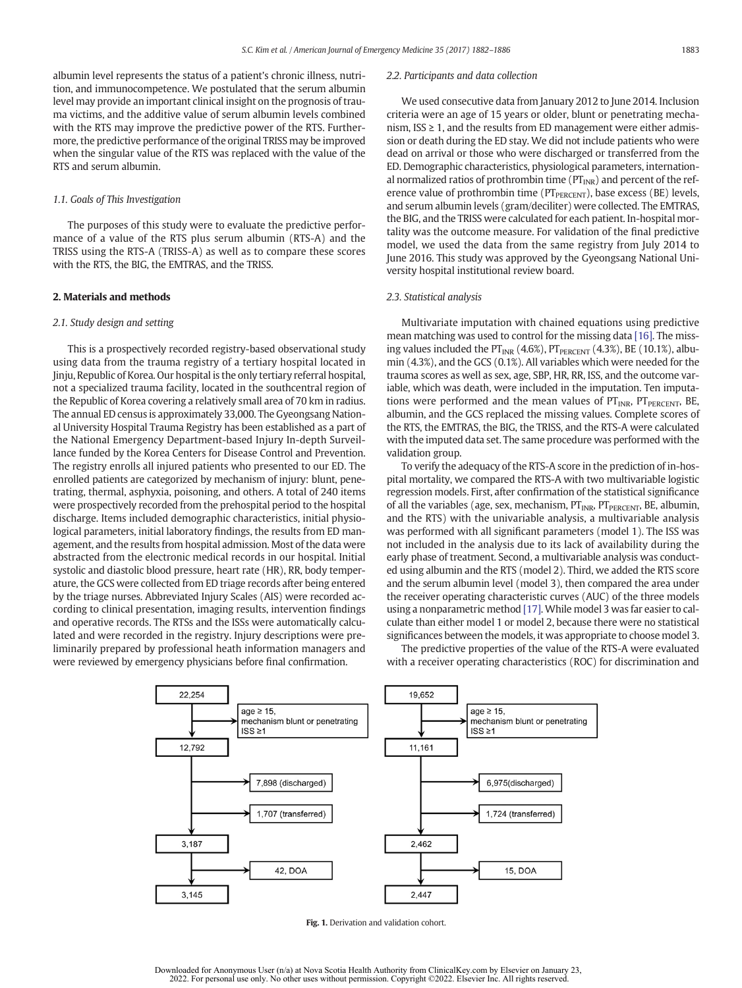<span id="page-1-0"></span>albumin level represents the status of a patient's chronic illness, nutrition, and immunocompetence. We postulated that the serum albumin level may provide an important clinical insight on the prognosis of trauma victims, and the additive value of serum albumin levels combined with the RTS may improve the predictive power of the RTS. Furthermore, the predictive performance of the original TRISS may be improved when the singular value of the RTS was replaced with the value of the RTS and serum albumin.

#### 1.1. Goals of This Investigation

The purposes of this study were to evaluate the predictive performance of a value of the RTS plus serum albumin (RTS-A) and the TRISS using the RTS-A (TRISS-A) as well as to compare these scores with the RTS, the BIG, the EMTRAS, and the TRISS.

#### 2. Materials and methods

#### 2.1. Study design and setting

This is a prospectively recorded registry-based observational study using data from the trauma registry of a tertiary hospital located in Jinju, Republic of Korea. Our hospital is the only tertiary referral hospital, not a specialized trauma facility, located in the southcentral region of the Republic of Korea covering a relatively small area of 70 km in radius. The annual ED census is approximately 33,000. The Gyeongsang National University Hospital Trauma Registry has been established as a part of the National Emergency Department-based Injury In-depth Surveillance funded by the Korea Centers for Disease Control and Prevention. The registry enrolls all injured patients who presented to our ED. The enrolled patients are categorized by mechanism of injury: blunt, penetrating, thermal, asphyxia, poisoning, and others. A total of 240 items were prospectively recorded from the prehospital period to the hospital discharge. Items included demographic characteristics, initial physiological parameters, initial laboratory findings, the results from ED management, and the results from hospital admission. Most of the data were abstracted from the electronic medical records in our hospital. Initial systolic and diastolic blood pressure, heart rate (HR), RR, body temperature, the GCS were collected from ED triage records after being entered by the triage nurses. Abbreviated Injury Scales (AIS) were recorded according to clinical presentation, imaging results, intervention findings and operative records. The RTSs and the ISSs were automatically calculated and were recorded in the registry. Injury descriptions were preliminarily prepared by professional heath information managers and were reviewed by emergency physicians before final confirmation.

#### 2.2. Participants and data collection

We used consecutive data from January 2012 to June 2014. Inclusion criteria were an age of 15 years or older, blunt or penetrating mechanism,  $ISS \geq 1$ , and the results from ED management were either admission or death during the ED stay. We did not include patients who were dead on arrival or those who were discharged or transferred from the ED. Demographic characteristics, physiological parameters, international normalized ratios of prothrombin time ( $PT_{INR}$ ) and percent of the reference value of prothrombin time (PT<sub>PERCENT</sub>), base excess (BE) levels, and serum albumin levels (gram/deciliter) were collected. The EMTRAS, the BIG, and the TRISS were calculated for each patient. In-hospital mortality was the outcome measure. For validation of the final predictive model, we used the data from the same registry from July 2014 to June 2016. This study was approved by the Gyeongsang National University hospital institutional review board.

#### 2.3. Statistical analysis

Multivariate imputation with chained equations using predictive mean matching was used to control for the missing data [\[16\].](#page-4-0) The missing values included the  $PT_{INR}$  (4.6%),  $PT_{PERCENT}$  (4.3%), BE (10.1%), albumin (4.3%), and the GCS (0.1%). All variables which were needed for the trauma scores as well as sex, age, SBP, HR, RR, ISS, and the outcome variable, which was death, were included in the imputation. Ten imputations were performed and the mean values of  $PT_{INR}$ ,  $PT_{PERCENT}$ , BE, albumin, and the GCS replaced the missing values. Complete scores of the RTS, the EMTRAS, the BIG, the TRISS, and the RTS-A were calculated with the imputed data set. The same procedure was performed with the validation group.

To verify the adequacy of the RTS-A score in the prediction of in-hospital mortality, we compared the RTS-A with two multivariable logistic regression models. First, after confirmation of the statistical significance of all the variables (age, sex, mechanism,  $PT_{INR}$ ,  $PT_{PERCENT}$ , BE, albumin, and the RTS) with the univariable analysis, a multivariable analysis was performed with all significant parameters (model 1). The ISS was not included in the analysis due to its lack of availability during the early phase of treatment. Second, a multivariable analysis was conducted using albumin and the RTS (model 2). Third, we added the RTS score and the serum albumin level (model 3), then compared the area under the receiver operating characteristic curves (AUC) of the three models using a nonparametric method [\[17\]](#page-4-0). While model 3 was far easier to calculate than either model 1 or model 2, because there were no statistical significances between the models, it was appropriate to choose model 3.

The predictive properties of the value of the RTS-A were evaluated with a receiver operating characteristics (ROC) for discrimination and



Fig. 1. Derivation and validation cohort.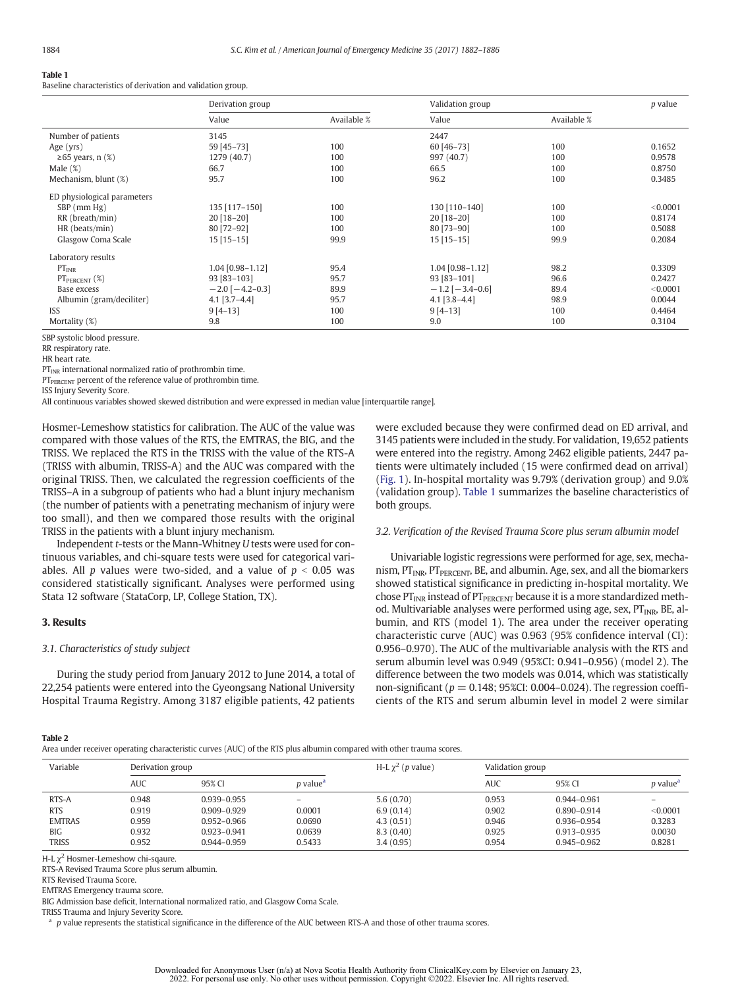#### <span id="page-2-0"></span>Table 1

Baseline characteristics of derivation and validation group.

|                             | Derivation group      |             | Validation group      |             | <i>p</i> value |
|-----------------------------|-----------------------|-------------|-----------------------|-------------|----------------|
|                             | Value                 | Available % | Value                 | Available % |                |
| Number of patients          | 3145                  |             | 2447                  |             |                |
| Age $(yrs)$                 | 59 [45-73]            | 100         | 60 [46-73]            | 100         | 0.1652         |
| $\geq$ 65 years, n (%)      | 1279 (40.7)           | 100         | 997 (40.7)            | 100         | 0.9578         |
| Male $(\%)$                 | 66.7                  | 100         | 66.5                  | 100         | 0.8750         |
| Mechanism, blunt (%)        | 95.7                  | 100         | 96.2                  | 100         | 0.3485         |
| ED physiological parameters |                       |             |                       |             |                |
| $SBP$ (mm $Hg$ )            | 135 [117-150]         | 100         | 130 [110-140]         | 100         | < 0.0001       |
| RR (breath/min)             | 20 [18-20]            | 100         | 20 [18-20]            | 100         | 0.8174         |
| HR (beats/min)              | 80 [72-92]            | 100         | 80 [73-90]            | 100         | 0.5088         |
| Glasgow Coma Scale          | $15$ [15-15]          | 99.9        | $15$ [15-15]          | 99.9        | 0.2084         |
| Laboratory results          |                       |             |                       |             |                |
| $PT_{INR}$                  | 1.04 [0.98-1.12]      | 95.4        | 1.04 [0.98-1.12]      | 98.2        | 0.3309         |
| $PT_{PERCENT} (\%)$         | 93 [83-103]           | 95.7        | 93 [83-101]           | 96.6        | 0.2427         |
| Base excess                 | $-2.0$ [ $-4.2-0.3$ ] | 89.9        | $-1.2$ [ $-3.4-0.6$ ] | 89.4        | < 0.0001       |
| Albumin (gram/deciliter)    | $4.1$ [3.7-4.4]       | 95.7        | $4.1$ [3.8-4.4]       | 98.9        | 0.0044         |
| <b>ISS</b>                  | $9[4-13]$             | 100         | $9[4-13]$             | 100         | 0.4464         |
| Mortality (%)               | 9.8                   | 100         | 9.0                   | 100         | 0.3104         |
| CDD cyctolic blood proccuro |                       |             |                       |             |                |

3P systolic blood pressur

HR heart rate.

 $PT<sub>INR</sub>$  international normalized ratio of prothrombin time.

PT<sub>PERCENT</sub> percent of the reference value of prothrombin time.

ISS Injury Severity Score.

All continuous variables showed skewed distribution and were expressed in median value [interquartile range].

Hosmer-Lemeshow statistics for calibration. The AUC of the value was compared with those values of the RTS, the EMTRAS, the BIG, and the TRISS. We replaced the RTS in the TRISS with the value of the RTS-A (TRISS with albumin, TRISS-A) and the AUC was compared with the original TRISS. Then, we calculated the regression coefficients of the TRISS–A in a subgroup of patients who had a blunt injury mechanism (the number of patients with a penetrating mechanism of injury were too small), and then we compared those results with the original TRISS in the patients with a blunt injury mechanism.

Independent t-tests or the Mann-Whitney U tests were used for continuous variables, and chi-square tests were used for categorical variables. All p values were two-sided, and a value of  $p < 0.05$  was considered statistically significant. Analyses were performed using Stata 12 software (StataCorp, LP, College Station, TX).

#### 3. Results

#### 3.1. Characteristics of study subject

During the study period from January 2012 to June 2014, a total of 22,254 patients were entered into the Gyeongsang National University Hospital Trauma Registry. Among 3187 eligible patients, 42 patients were excluded because they were confirmed dead on ED arrival, and 3145 patients were included in the study. For validation, 19,652 patients were entered into the registry. Among 2462 eligible patients, 2447 patients were ultimately included (15 were confirmed dead on arrival) [\(Fig. 1\)](#page-1-0). In-hospital mortality was 9.79% (derivation group) and 9.0% (validation group). Table 1 summarizes the baseline characteristics of both groups.

#### 3.2. Verification of the Revised Trauma Score plus serum albumin model

Univariable logistic regressions were performed for age, sex, mechanism,  $PT_{INR}$ ,  $PT_{PERCENT}$ , BE, and albumin. Age, sex, and all the biomarkers showed statistical significance in predicting in-hospital mortality. We chose  $PT_{INR}$  instead of  $PT_{PERCENT}$  because it is a more standardized method. Multivariable analyses were performed using age, sex,  $PT_{INR}$ , BE, albumin, and RTS (model 1). The area under the receiver operating characteristic curve (AUC) was 0.963 (95% confidence interval (CI): 0.956–0.970). The AUC of the multivariable analysis with the RTS and serum albumin level was 0.949 (95%CI: 0.941–0.956) (model 2). The difference between the two models was 0.014, which was statistically non-significant ( $p = 0.148$ ; 95%CI: 0.004-0.024). The regression coefficients of the RTS and serum albumin level in model 2 were similar

#### Table 2

Area under receiver operating characteristic curves (AUC) of the RTS plus albumin compared with other trauma scores.

| Variable      | Derivation group |                 | H-L $\chi^2$ (p value)      | Validation group |       |                 |                             |
|---------------|------------------|-----------------|-----------------------------|------------------|-------|-----------------|-----------------------------|
|               | <b>AUC</b>       | 95% CI          | <i>p</i> value <sup>a</sup> |                  | AUC   | 95% CI          | <i>p</i> value <sup>a</sup> |
| RTS-A         | 0.948            | 0.939-0.955     |                             | 5.6(0.70)        | 0.953 | 0.944-0.961     |                             |
| <b>RTS</b>    | 0.919            | $0.909 - 0.929$ | 0.0001                      | 6.9(0.14)        | 0.902 | 0.890-0.914     | < 0.0001                    |
| <b>EMTRAS</b> | 0.959            | 0.952-0.966     | 0.0690                      | 4.3(0.51)        | 0.946 | 0.936-0.954     | 0.3283                      |
| <b>BIG</b>    | 0.932            | 0.923-0.941     | 0.0639                      | 8.3(0.40)        | 0.925 | 0.913-0.935     | 0.0030                      |
| <b>TRISS</b>  | 0.952            | 0.944-0.959     | 0.5433                      | 3.4(0.95)        | 0.954 | $0.945 - 0.962$ | 0.8281                      |

H-L  $\chi^2$  Hosmer-Lemeshow chi-sqaure.

RTS-A Revised Trauma Score plus serum albumin.

RTS Revised Trauma Score.

EMTRAS Emergency trauma score.

BIG Admission base deficit, International normalized ratio, and Glasgow Coma Scale.

TRISS Trauma and Injury Severity Score.

 $a$  p value represents the statistical significance in the difference of the AUC between RTS-A and those of other trauma scores.

RR respiratory rate.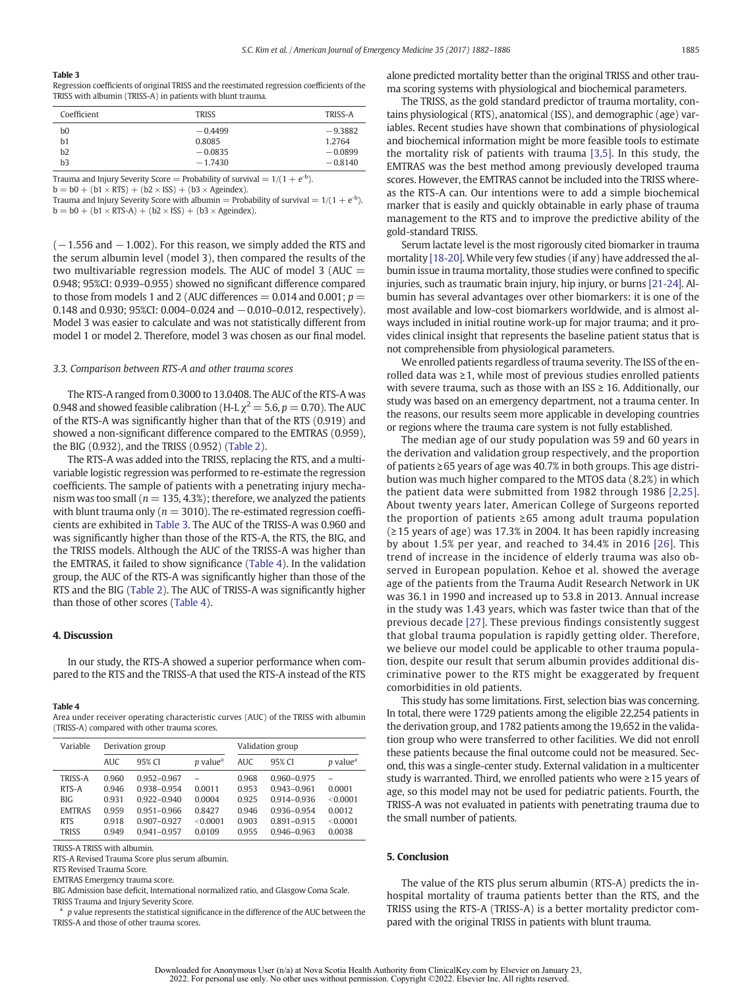#### Table 3

Regression coefficients of original TRISS and the reestimated regression coefficients of the TRISS with albumin (TRISS-A) in patients with blunt trauma.

| Coefficient | <b>TRISS</b> | TRISS-A   |
|-------------|--------------|-----------|
| b0          | $-0.4499$    | $-9.3882$ |
| b1          | 0.8085       | 1.2764    |
| b2          | $-0.0835$    | $-0.0899$ |
| b3          | $-1.7430$    | $-0.8140$ |

Trauma and Injury Severity Score = Probability of survival =  $1/(1 + e^{-b})$ .

 $b = b0 + (b1 \times RTS) + (b2 \times ISS) + (b3 \times Ageindex).$ 

Trauma and Injury Severity Score with albumin = Probability of survival =  $1/(1 + e^{-b})$ .  $b = b0 + (b1 \times RTS-A) + (b2 \times ISS) + (b3 \times Ageindex).$ 

 $(-1.556$  and  $-1.002$ ). For this reason, we simply added the RTS and the serum albumin level (model 3), then compared the results of the two multivariable regression models. The AUC of model 3 (AUC  $=$ 0.948; 95%CI: 0.939–0.955) showed no significant difference compared to those from models 1 and 2 (AUC differences  $= 0.014$  and  $0.001$ ;  $p =$ 0.148 and 0.930; 95%CI: 0.004–0.024 and −0.010–0.012, respectively). Model 3 was easier to calculate and was not statistically different from model 1 or model 2. Therefore, model 3 was chosen as our final model.

#### 3.3. Comparison between RTS-A and other trauma scores

The RTS-A ranged from 0.3000 to 13.0408. The AUC of the RTS-A was 0.948 and showed feasible calibration (H-L  $\chi^2 = 5.6$ ,  $p = 0.70$ ). The AUC of the RTS-A was significantly higher than that of the RTS (0.919) and showed a non-significant difference compared to the EMTRAS (0.959), the BIG (0.932), and the TRISS (0.952) ([Table 2](#page-2-0)).

The RTS-A was added into the TRISS, replacing the RTS, and a multivariable logistic regression was performed to re-estimate the regression coefficients. The sample of patients with a penetrating injury mechanism was too small ( $n = 135, 4.3\%$ ); therefore, we analyzed the patients with blunt trauma only ( $n = 3010$ ). The re-estimated regression coefficients are exhibited in Table 3. The AUC of the TRISS-A was 0.960 and was significantly higher than those of the RTS-A, the RTS, the BIG, and the TRISS models. Although the AUC of the TRISS-A was higher than the EMTRAS, it failed to show significance (Table 4). In the validation group, the AUC of the RTS-A was significantly higher than those of the RTS and the BIG ([Table 2](#page-2-0)). The AUC of TRISS-A was significantly higher than those of other scores (Table 4).

#### 4. Discussion

In our study, the RTS-A showed a superior performance when compared to the RTS and the TRISS-A that used the RTS-A instead of the RTS

#### Table 4

Area under receiver operating characteristic curves (AUC) of the TRISS with albumin (TRISS-A) compared with other trauma scores.

| Variable      | Derivation group |                 |                                    | Validation group |                 |                             |
|---------------|------------------|-----------------|------------------------------------|------------------|-----------------|-----------------------------|
|               | <b>AUC</b>       | 95% CI          | <i>p</i> value <sup><i>a</i></sup> | AUC              | 95% CI          | <i>p</i> value <sup>a</sup> |
| TRISS-A       | 0.960            | 0.952-0.967     |                                    | 0.968            | 0.960-0.975     |                             |
| RTS-A         | 0.946            | 0.938-0.954     | 0.0011                             | 0.953            | $0.943 - 0.961$ | 0.0001                      |
| <b>BIG</b>    | 0931             | 0.922-0.940     | 0.0004                             | 0.925            | 0914-0936       | < 0.0001                    |
| <b>EMTRAS</b> | 0.959            | $0.951 - 0.966$ | 0.8427                             | 0.946            | 0.936-0.954     | 0.0012                      |
| <b>RTS</b>    | 0.918            | $0.907 - 0.927$ | < 0.0001                           | 0.903            | $0.891 - 0.915$ | < 0.0001                    |
| <b>TRISS</b>  | 0.949            | 0941-0957       | 0.0109                             | 0.955            | 0.946-0.963     | 0.0038                      |

TRISS-A TRISS with albumin.

RTS-A Revised Trauma Score plus serum albumin.

RTS Revised Trauma Score.

EMTRAS Emergency trauma score.

BIG Admission base deficit, International normalized ratio, and Glasgow Coma Scale. TRISS Trauma and Injury Severity Score.

 $a$  p value represents the statistical significance in the difference of the AUC between the TRISS-A and those of other trauma scores.

alone predicted mortality better than the original TRISS and other trauma scoring systems with physiological and biochemical parameters.

The TRISS, as the gold standard predictor of trauma mortality, contains physiological (RTS), anatomical (ISS), and demographic (age) variables. Recent studies have shown that combinations of physiological and biochemical information might be more feasible tools to estimate the mortality risk of patients with trauma [\[3,5\]](#page-4-0). In this study, the EMTRAS was the best method among previously developed trauma scores. However, the EMTRAS cannot be included into the TRISS whereas the RTS-A can. Our intentions were to add a simple biochemical marker that is easily and quickly obtainable in early phase of trauma management to the RTS and to improve the predictive ability of the gold-standard TRISS.

Serum lactate level is the most rigorously cited biomarker in trauma mortality [\[18-20\]](#page-4-0). While very few studies (if any) have addressed the albumin issue in trauma mortality, those studies were confined to specific injuries, such as traumatic brain injury, hip injury, or burns [\[21-24\]](#page-4-0). Albumin has several advantages over other biomarkers: it is one of the most available and low-cost biomarkers worldwide, and is almost always included in initial routine work-up for major trauma; and it provides clinical insight that represents the baseline patient status that is not comprehensible from physiological parameters.

We enrolled patients regardless of trauma severity. The ISS of the enrolled data was  $\geq 1$ , while most of previous studies enrolled patients with severe trauma, such as those with an  $ISS \geq 16$ . Additionally, our study was based on an emergency department, not a trauma center. In the reasons, our results seem more applicable in developing countries or regions where the trauma care system is not fully established.

The median age of our study population was 59 and 60 years in the derivation and validation group respectively, and the proportion of patients ≥65 years of age was 40.7% in both groups. This age distribution was much higher compared to the MTOS data (8.2%) in which the patient data were submitted from 1982 through 1986 [\[2,25\].](#page-4-0) About twenty years later, American College of Surgeons reported the proportion of patients ≥65 among adult trauma population (≥15 years of age) was 17.3% in 2004. It has been rapidly increasing by about 1.5% per year, and reached to 34.4% in 2016 [\[26\].](#page-4-0) This trend of increase in the incidence of elderly trauma was also observed in European population. Kehoe et al. showed the average age of the patients from the Trauma Audit Research Network in UK was 36.1 in 1990 and increased up to 53.8 in 2013. Annual increase in the study was 1.43 years, which was faster twice than that of the previous decade [\[27\].](#page-4-0) These previous findings consistently suggest that global trauma population is rapidly getting older. Therefore, we believe our model could be applicable to other trauma population, despite our result that serum albumin provides additional discriminative power to the RTS might be exaggerated by frequent comorbidities in old patients.

This study has some limitations. First, selection bias was concerning. In total, there were 1729 patients among the eligible 22,254 patients in the derivation group, and 1782 patients among the 19,652 in the validation group who were transferred to other facilities. We did not enroll these patients because the final outcome could not be measured. Second, this was a single-center study. External validation in a multicenter study is warranted. Third, we enrolled patients who were ≥15 years of age, so this model may not be used for pediatric patients. Fourth, the TRISS-A was not evaluated in patients with penetrating trauma due to the small number of patients.

#### 5. Conclusion

The value of the RTS plus serum albumin (RTS-A) predicts the inhospital mortality of trauma patients better than the RTS, and the TRISS using the RTS-A (TRISS-A) is a better mortality predictor compared with the original TRISS in patients with blunt trauma.

Downloaded for Anonymous User (n/a) at Nova Scotia Health Authority from ClinicalKey.com by Elsevier on January 23, 2022. For personal use only. No other uses without permission. Copyright ©2022. Elsevier Inc. All rights reserved.